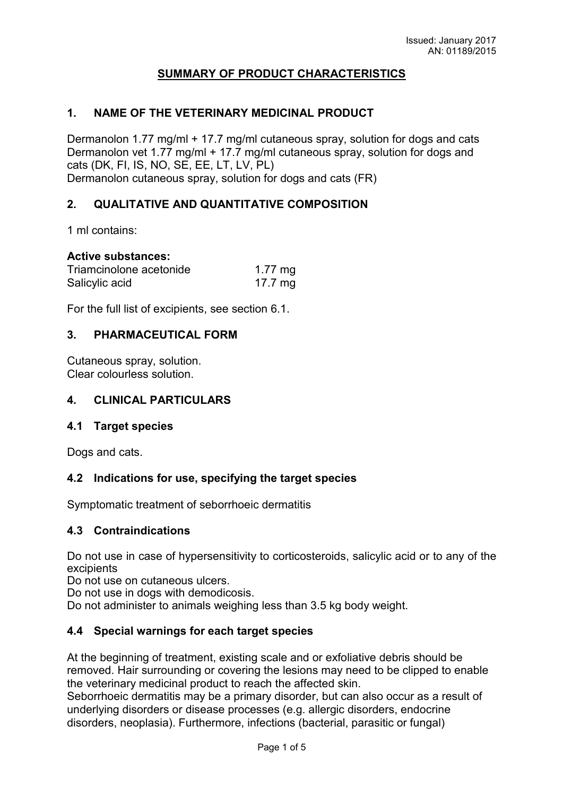# SUMMARY OF PRODUCT CHARACTERISTICS

### 1. NAME OF THE VETERINARY MEDICINAL PRODUCT

Dermanolon 1.77 mg/ml + 17.7 mg/ml cutaneous spray, solution for dogs and cats Dermanolon vet 1.77 mg/ml + 17.7 mg/ml cutaneous spray, solution for dogs and cats (DK, FI, IS, NO, SE, EE, LT, LV, PL) Dermanolon cutaneous spray, solution for dogs and cats (FR)

## 2. QUALITATIVE AND QUANTITATIVE COMPOSITION

1 ml contains:

#### Active substances:

| Triamcinolone acetonide | $1.77 \text{ mg}$ |
|-------------------------|-------------------|
| Salicylic acid          | 17.7 $mg$         |

For the full list of excipients, see section 6.1.

#### 3. PHARMACEUTICAL FORM

Cutaneous spray, solution. Clear colourless solution.

### 4. CLINICAL PARTICULARS

### 4.1 Target species

Dogs and cats.

### 4.2 Indications for use, specifying the target species

Symptomatic treatment of seborrhoeic dermatitis

#### 4.3 Contraindications

Do not use in case of hypersensitivity to corticosteroids, salicylic acid or to any of the excipients

Do not use on cutaneous ulcers.

Do not use in dogs with demodicosis.

Do not administer to animals weighing less than 3.5 kg body weight.

### 4.4 Special warnings for each target species

At the beginning of treatment, existing scale and or exfoliative debris should be removed. Hair surrounding or covering the lesions may need to be clipped to enable the veterinary medicinal product to reach the affected skin.

Seborrhoeic dermatitis may be a primary disorder, but can also occur as a result of underlying disorders or disease processes (e.g. allergic disorders, endocrine disorders, neoplasia). Furthermore, infections (bacterial, parasitic or fungal)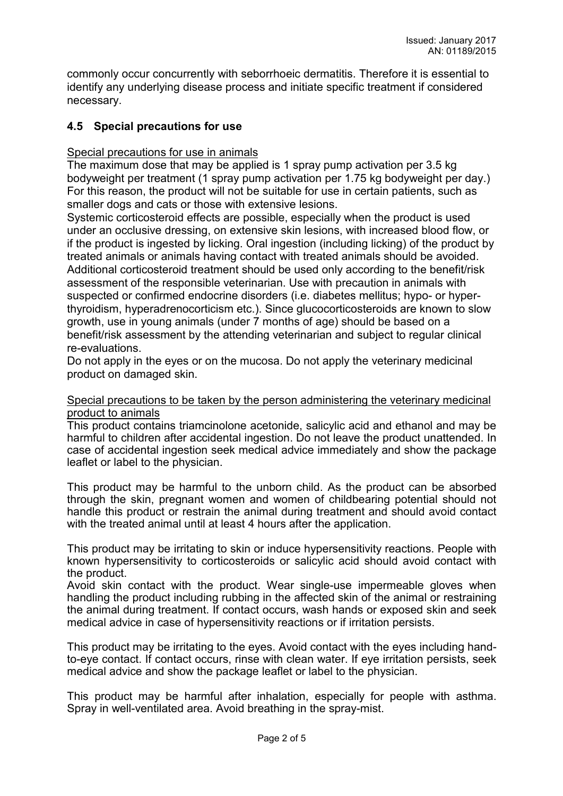commonly occur concurrently with seborrhoeic dermatitis. Therefore it is essential to identify any underlying disease process and initiate specific treatment if considered necessary.

# 4.5 Special precautions for use

## Special precautions for use in animals

The maximum dose that may be applied is 1 spray pump activation per 3.5 kg bodyweight per treatment (1 spray pump activation per 1.75 kg bodyweight per day.) For this reason, the product will not be suitable for use in certain patients, such as smaller dogs and cats or those with extensive lesions.

Systemic corticosteroid effects are possible, especially when the product is used under an occlusive dressing, on extensive skin lesions, with increased blood flow, or if the product is ingested by licking. Oral ingestion (including licking) of the product by treated animals or animals having contact with treated animals should be avoided. Additional corticosteroid treatment should be used only according to the benefit/risk assessment of the responsible veterinarian. Use with precaution in animals with suspected or confirmed endocrine disorders (i.e. diabetes mellitus; hypo- or hyperthyroidism, hyperadrenocorticism etc.). Since glucocorticosteroids are known to slow growth, use in young animals (under 7 months of age) should be based on a benefit/risk assessment by the attending veterinarian and subject to regular clinical re-evaluations.

Do not apply in the eyes or on the mucosa. Do not apply the veterinary medicinal product on damaged skin.

### Special precautions to be taken by the person administering the veterinary medicinal product to animals

This product contains triamcinolone acetonide, salicylic acid and ethanol and may be harmful to children after accidental ingestion. Do not leave the product unattended. In case of accidental ingestion seek medical advice immediately and show the package leaflet or label to the physician.

This product may be harmful to the unborn child. As the product can be absorbed through the skin, pregnant women and women of childbearing potential should not handle this product or restrain the animal during treatment and should avoid contact with the treated animal until at least 4 hours after the application.

This product may be irritating to skin or induce hypersensitivity reactions. People with known hypersensitivity to corticosteroids or salicylic acid should avoid contact with the product.

Avoid skin contact with the product. Wear single-use impermeable gloves when handling the product including rubbing in the affected skin of the animal or restraining the animal during treatment. If contact occurs, wash hands or exposed skin and seek medical advice in case of hypersensitivity reactions or if irritation persists.

This product may be irritating to the eyes. Avoid contact with the eyes including handto-eye contact. If contact occurs, rinse with clean water. If eye irritation persists, seek medical advice and show the package leaflet or label to the physician.

This product may be harmful after inhalation, especially for people with asthma. Spray in well-ventilated area. Avoid breathing in the spray-mist.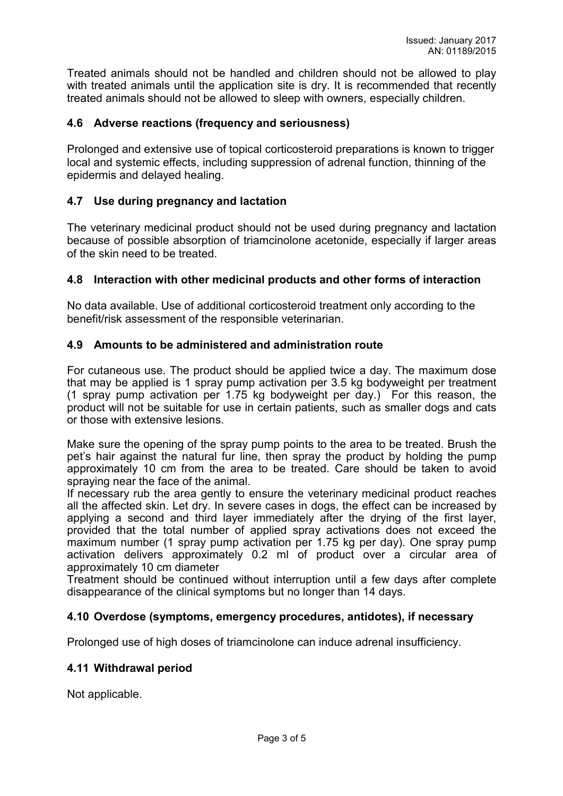Treated animals should not be handled and children should not be allowed to play with treated animals until the application site is dry. It is recommended that recently treated animals should not be allowed to sleep with owners, especially children.

### 4.6 Adverse reactions (frequency and seriousness)

Prolonged and extensive use of topical corticosteroid preparations is known to trigger local and systemic effects, including suppression of adrenal function, thinning of the epidermis and delayed healing.

### 4.7 Use during pregnancy and lactation

The veterinary medicinal product should not be used during pregnancy and lactation because of possible absorption of triamcinolone acetonide, especially if larger areas of the skin need to be treated.

## 4.8 Interaction with other medicinal products and other forms of interaction

No data available. Use of additional corticosteroid treatment only according to the benefit/risk assessment of the responsible veterinarian.

## 4.9 Amounts to be administered and administration route

For cutaneous use. The product should be applied twice a day. The maximum dose that may be applied is 1 spray pump activation per 3.5 kg bodyweight per treatment (1 spray pump activation per 1.75 kg bodyweight per day.) For this reason, the product will not be suitable for use in certain patients, such as smaller dogs and cats or those with extensive lesions.

Make sure the opening of the spray pump points to the area to be treated. Brush the pet's hair against the natural fur line, then spray the product by holding the pump approximately 10 cm from the area to be treated. Care should be taken to avoid spraying near the face of the animal.

If necessary rub the area gently to ensure the veterinary medicinal product reaches all the affected skin. Let dry. In severe cases in dogs, the effect can be increased by applying a second and third layer immediately after the drying of the first layer, provided that the total number of applied spray activations does not exceed the maximum number (1 spray pump activation per 1.75 kg per day). One spray pump activation delivers approximately 0.2 ml of product over a circular area of approximately 10 cm diameter

Treatment should be continued without interruption until a few days after complete disappearance of the clinical symptoms but no longer than 14 days.

### 4.10 Overdose (symptoms, emergency procedures, antidotes), if necessary

Prolonged use of high doses of triamcinolone can induce adrenal insufficiency.

# 4.11 Withdrawal period

Not applicable.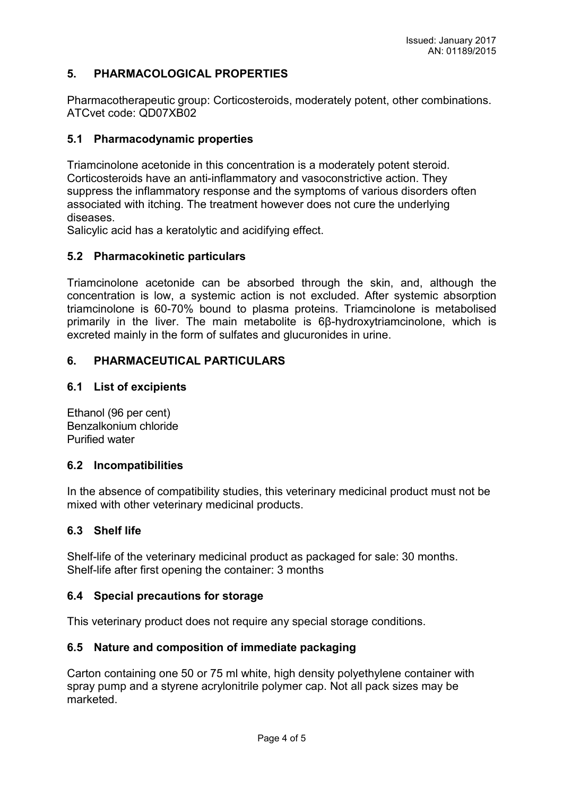# 5. PHARMACOLOGICAL PROPERTIES

Pharmacotherapeutic group: Corticosteroids, moderately potent, other combinations. ATCvet code: QD07XB02

### 5.1 Pharmacodynamic properties

Triamcinolone acetonide in this concentration is a moderately potent steroid. Corticosteroids have an anti-inflammatory and vasoconstrictive action. They suppress the inflammatory response and the symptoms of various disorders often associated with itching. The treatment however does not cure the underlying diseases.

Salicylic acid has a keratolytic and acidifying effect.

### 5.2 Pharmacokinetic particulars

Triamcinolone acetonide can be absorbed through the skin, and, although the concentration is low, a systemic action is not excluded. After systemic absorption triamcinolone is 60-70% bound to plasma proteins. Triamcinolone is metabolised primarily in the liver. The main metabolite is 6β-hydroxytriamcinolone, which is excreted mainly in the form of sulfates and glucuronides in urine.

## 6. PHARMACEUTICAL PARTICULARS

## 6.1 List of excipients

Ethanol (96 per cent) Benzalkonium chloride Purified water

### 6.2 Incompatibilities

In the absence of compatibility studies, this veterinary medicinal product must not be mixed with other veterinary medicinal products.

### 6.3 Shelf life

Shelf-life of the veterinary medicinal product as packaged for sale: 30 months. Shelf-life after first opening the container: 3 months

### 6.4 Special precautions for storage

This veterinary product does not require any special storage conditions.

### 6.5 Nature and composition of immediate packaging

Carton containing one 50 or 75 ml white, high density polyethylene container with spray pump and a styrene acrylonitrile polymer cap. Not all pack sizes may be marketed.